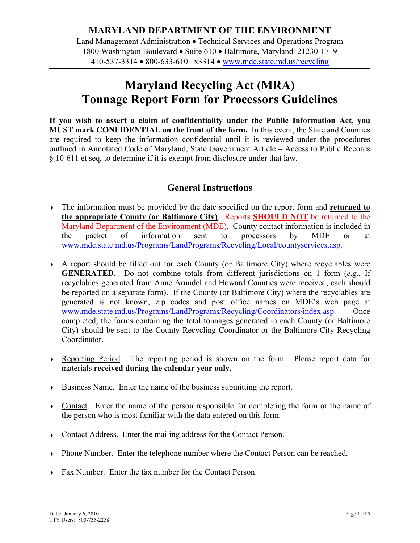## **Maryland Recycling Act (MRA) Tonnage Report Form for Processors Guidelines**

**If you wish to assert a claim of confidentiality under the Public Information Act, you MUST mark CONFIDENTIAL on the front of the form.** In this event, the State and Counties are required to keep the information confidential until it is reviewed under the procedures outlined in Annotated Code of Maryland, State Government Article – Access to Public Records § 10-611 et seq, to determine if it is exempt from disclosure under that law.

## **General Instructions**

- The information must be provided by the date specified on the report form and **returned to the appropriate County (or Baltimore City)**. Reports **SHOULD NOT** be returned to the Maryland Department of the Environment (MDE). County contact information is included in the packet of information sent to processors by MDE or at www.mde.state.md.us/Programs/LandPrograms/Recycling/Local/countyservices.asp.
- A report should be filled out for each County (or Baltimore City) where recyclables were **GENERATED**. Do not combine totals from different jurisdictions on 1 form (*e.g.*, If recyclables generated from Anne Arundel and Howard Counties were received, each should be reported on a separate form). If the County (or Baltimore City) where the recyclables are generated is not known, zip codes and post office names on MDE's web page at www.mde.state.md.us/Programs/LandPrograms/Recycling/Coordinators/index.asp. Once completed, the forms containing the total tonnages generated in each County (or Baltimore City) should be sent to the County Recycling Coordinator or the Baltimore City Recycling Coordinator.
- Reporting Period. The reporting period is shown on the form. Please report data for materials **received during the calendar year only.**
- $\rightarrow$  Business Name. Enter the name of the business submitting the report.
- Contact. Enter the name of the person responsible for completing the form or the name of the person who is most familiar with the data entered on this form.
- Contact Address. Enter the mailing address for the Contact Person.
- Phone Number. Enter the telephone number where the Contact Person can be reached.
- Fax Number. Enter the fax number for the Contact Person.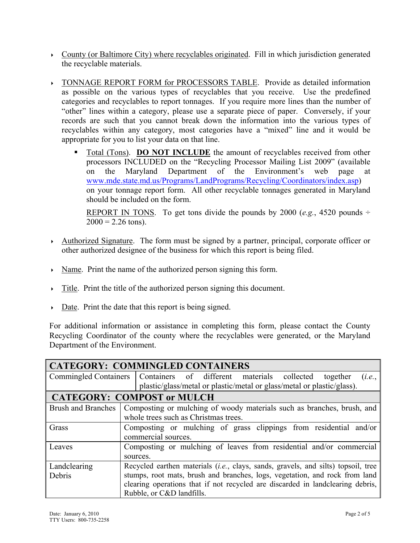- $\rightarrow$  County (or Baltimore City) where recyclables originated. Fill in which jurisdiction generated the recyclable materials.
- TONNAGE REPORT FORM for PROCESSORS TABLE. Provide as detailed information as possible on the various types of recyclables that you receive. Use the predefined categories and recyclables to report tonnages. If you require more lines than the number of "other" lines within a category, please use a separate piece of paper. Conversely, if your records are such that you cannot break down the information into the various types of recyclables within any category, most categories have a "mixed" line and it would be appropriate for you to list your data on that line.
	- Total (Tons). **DO NOT INCLUDE** the amount of recyclables received from other processors INCLUDED on the "Recycling Processor Mailing List 2009" (available on the Maryland Department of the Environment's web page at www.mde.state.md.us/Programs/LandPrograms/Recycling/Coordinators/index.asp) on your tonnage report form. All other recyclable tonnages generated in Maryland should be included on the form.

REPORT IN TONS. To get tons divide the pounds by 2000 (*e.g.*, 4520 pounds  $\div$  $2000 = 2.26$  tons).

- Authorized Signature. The form must be signed by a partner, principal, corporate officer or other authorized designee of the business for which this report is being filed.
- Name. Print the name of the authorized person signing this form.
- $\rightarrow$  Title. Print the title of the authorized person signing this document.
- $\triangleright$  Date. Print the date that this report is being signed.

For additional information or assistance in completing this form, please contact the County Recycling Coordinator of the county where the recyclables were generated, or the Maryland Department of the Environment.

| <b>CATEGORY: COMMINGLED CONTAINERS</b> |                                                                                             |  |  |  |
|----------------------------------------|---------------------------------------------------------------------------------------------|--|--|--|
|                                        | Commingled Containers   Containers of different materials collected<br>together<br>(i.e.,   |  |  |  |
|                                        | plastic/glass/metal or plastic/metal or glass/metal or plastic/glass).                      |  |  |  |
| <b>CATEGORY: COMPOST or MULCH</b>      |                                                                                             |  |  |  |
|                                        | Brush and Branches   Composting or mulching of woody materials such as branches, brush, and |  |  |  |
|                                        | whole trees such as Christmas trees.                                                        |  |  |  |
| Grass                                  | Composting or mulching of grass clippings from residential and/or                           |  |  |  |
|                                        | commercial sources.                                                                         |  |  |  |
| Leaves                                 | Composting or mulching of leaves from residential and/or commercial                         |  |  |  |
|                                        | sources.                                                                                    |  |  |  |
| Landclearing                           | Recycled earthen materials <i>(i.e., clays, sands, gravels, and silts)</i> topsoil, tree    |  |  |  |
| Debris                                 | stumps, root mats, brush and branches, logs, vegetation, and rock from land                 |  |  |  |
|                                        | clearing operations that if not recycled are discarded in landclearing debris,              |  |  |  |
|                                        | Rubble, or C&D landfills.                                                                   |  |  |  |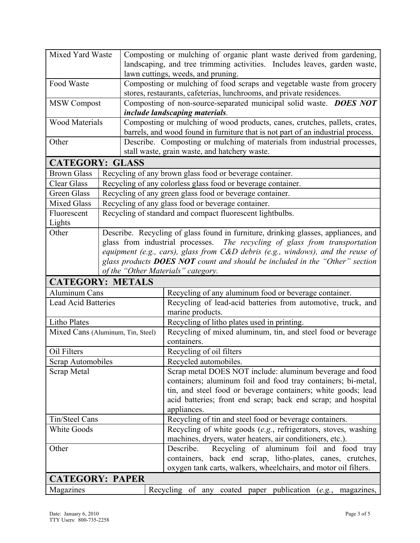| Mixed Yard Waste                  |  |                                                                                    | Composting or mulching of organic plant waste derived from gardening,                                |  |
|-----------------------------------|--|------------------------------------------------------------------------------------|------------------------------------------------------------------------------------------------------|--|
|                                   |  |                                                                                    | landscaping, and tree trimming activities. Includes leaves, garden waste,                            |  |
|                                   |  |                                                                                    | lawn cuttings, weeds, and pruning.                                                                   |  |
| Food Waste                        |  |                                                                                    | Composting or mulching of food scraps and vegetable waste from grocery                               |  |
|                                   |  |                                                                                    | stores, restaurants, cafeterias, lunchrooms, and private residences.                                 |  |
| <b>MSW Compost</b>                |  |                                                                                    | Composting of non-source-separated municipal solid waste. DOES NOT<br>include landscaping materials. |  |
| <b>Wood Materials</b>             |  |                                                                                    | Composting or mulching of wood products, canes, crutches, pallets, crates,                           |  |
|                                   |  |                                                                                    | barrels, and wood found in furniture that is not part of an industrial process.                      |  |
| Other                             |  |                                                                                    | Describe. Composting or mulching of materials from industrial processes,                             |  |
|                                   |  |                                                                                    | stall waste, grain waste, and hatchery waste.                                                        |  |
| <b>CATEGORY: GLASS</b>            |  |                                                                                    |                                                                                                      |  |
| <b>Brown Glass</b>                |  |                                                                                    | Recycling of any brown glass food or beverage container.                                             |  |
| <b>Clear Glass</b>                |  | Recycling of any colorless glass food or beverage container.                       |                                                                                                      |  |
| Green Glass                       |  | Recycling of any green glass food or beverage container.                           |                                                                                                      |  |
| <b>Mixed Glass</b>                |  | Recycling of any glass food or beverage container.                                 |                                                                                                      |  |
| Fluorescent<br>Lights             |  | Recycling of standard and compact fluorescent lightbulbs.                          |                                                                                                      |  |
| Other                             |  | Describe. Recycling of glass found in furniture, drinking glasses, appliances, and |                                                                                                      |  |
|                                   |  | glass from industrial processes. The recycling of glass from transportation        |                                                                                                      |  |
|                                   |  |                                                                                    | equipment (e.g., cars), glass from C&D debris (e.g., windows), and the reuse of                      |  |
|                                   |  |                                                                                    | glass products <b>DOES NOT</b> count and should be included in the "Other" section                   |  |
|                                   |  |                                                                                    | of the "Other Materials" category.                                                                   |  |
| <b>CATEGORY: METALS</b>           |  |                                                                                    |                                                                                                      |  |
| Aluminum Cans                     |  |                                                                                    | Recycling of any aluminum food or beverage container.                                                |  |
| <b>Lead Acid Batteries</b>        |  |                                                                                    | Recycling of lead-acid batteries from automotive, truck, and<br>marine products.                     |  |
| <b>Litho Plates</b>               |  |                                                                                    | Recycling of litho plates used in printing.                                                          |  |
| Mixed Cans (Aluminum, Tin, Steel) |  |                                                                                    | Recycling of mixed aluminum, tin, and steel food or beverage                                         |  |
|                                   |  |                                                                                    | containers.                                                                                          |  |
| Oil Filters                       |  |                                                                                    | Recycling of oil filters                                                                             |  |
| Scrap Automobiles                 |  |                                                                                    | Recycled automobiles.                                                                                |  |
| Scrap Metal                       |  |                                                                                    | Scrap metal DOES NOT include: aluminum beverage and food                                             |  |
|                                   |  |                                                                                    | containers; aluminum foil and food tray containers; bi-metal,                                        |  |
|                                   |  |                                                                                    | tin, and steel food or beverage containers; white goods; lead                                        |  |
|                                   |  |                                                                                    | acid batteries; front end scrap; back end scrap; and hospital                                        |  |
|                                   |  |                                                                                    | appliances.                                                                                          |  |
| Tin/Steel Cans                    |  |                                                                                    | Recycling of tin and steel food or beverage containers.                                              |  |
| <b>White Goods</b>                |  |                                                                                    | Recycling of white goods (e.g., refrigerators, stoves, washing                                       |  |
|                                   |  |                                                                                    | machines, dryers, water heaters, air conditioners, etc.).                                            |  |
| Other                             |  |                                                                                    | Describe.<br>Recycling of aluminum foil and food tray                                                |  |
|                                   |  |                                                                                    | containers, back end scrap, litho-plates, canes, crutches,                                           |  |
|                                   |  |                                                                                    | oxygen tank carts, walkers, wheelchairs, and motor oil filters.                                      |  |
| <b>CATEGORY: PAPER</b>            |  |                                                                                    |                                                                                                      |  |
| Magazines                         |  |                                                                                    | publication<br>Recycling of any<br>coated<br>paper<br>(e.g., magazines,                              |  |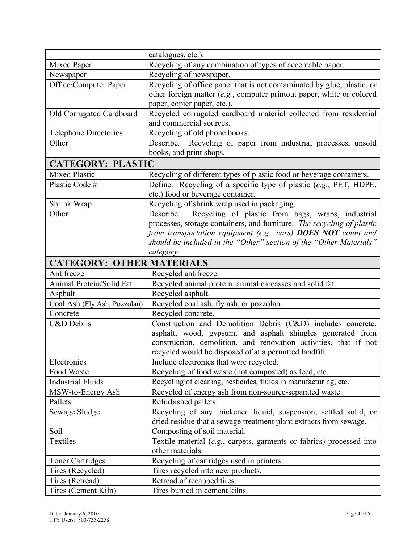|                                  | catalogues, etc.).                                                      |
|----------------------------------|-------------------------------------------------------------------------|
| Mixed Paper                      | Recycling of any combination of types of acceptable paper.              |
| Newspaper                        | Recycling of newspaper.                                                 |
| Office/Computer Paper            | Recycling of office paper that is not contaminated by glue, plastic, or |
|                                  | other foreign matter (e.g., computer printout paper, white or colored   |
|                                  | paper, copier paper, etc.).                                             |
| Old Corrugated Cardboard         | Recycled corrugated cardboard material collected from residential       |
|                                  | and commercial sources.                                                 |
| <b>Telephone Directories</b>     | Recycling of old phone books.                                           |
| Other                            | Describe. Recycling of paper from industrial processes, unsold          |
|                                  | books, and print shops.                                                 |
| <b>CATEGORY: PLASTIC</b>         |                                                                         |
| <b>Mixed Plastic</b>             | Recycling of different types of plastic food or beverage containers.    |
| Plastic Code#                    | Define. Recycling of a specific type of plastic (e.g., PET, HDPE,       |
|                                  | etc.) food or beverage container.                                       |
| Shrink Wrap                      | Recycling of shrink wrap used in packaging.                             |
| Other                            | Recycling of plastic from bags, wraps, industrial<br>Describe.          |
|                                  | processes, storage containers, and furniture. The recycling of plastic  |
|                                  | from transportation equipment (e.g., cars) DOES NOT count and           |
|                                  | should be included in the "Other" section of the "Other Materials"      |
|                                  | category.                                                               |
| <b>CATEGORY: OTHER MATERIALS</b> |                                                                         |
| Antifreeze                       | Recycled antifreeze.                                                    |
| Animal Protein/Solid Fat         | Recycled animal protein, animal carcasses and solid fat.                |
| Asphalt                          | Recycled asphalt.                                                       |
| Coal Ash (Fly Ash, Pozzolan)     | Recycled coal ash, fly ash, or pozzolan.                                |
| Concrete                         | Recycled concrete.                                                      |
| C&D Debris                       | Construction and Demolition Debris (C&D) includes concrete,             |
|                                  | asphalt, wood, gypsum, and asphalt shingles generated from              |
|                                  | construction, demolition, and renovation activities, that if not        |
|                                  | recycled would be disposed of at a permitted landfill.                  |
| Electronics                      | Include electronics that were recycled.                                 |
| Food Waste                       | Recycling of food waste (not composted) as feed, etc.                   |
| <b>Industrial Fluids</b>         | Recycling of cleaning, pesticides, fluids in manufacturing, etc.        |
| MSW-to-Energy Ash                | Recycled of energy ash from non-source-separated waste.                 |
| Pallets                          | Refurbished pallets.                                                    |
| Sewage Sludge                    | Recycling of any thickened liquid, suspension, settled solid, or        |
|                                  | dried residue that a sewage treatment plant extracts from sewage.       |
| Soil                             | Composting of soil material.                                            |
| Textiles                         | Textile material (e.g., carpets, garments or fabrics) processed into    |
|                                  | other materials.                                                        |
| <b>Toner Cartridges</b>          | Recycling of cartridges used in printers.                               |
| Tires (Recycled)                 | Tires recycled into new products.                                       |
| Tires (Retread)                  | Retread of recapped tires.                                              |
| Tires (Cement Kiln)              | Tires burned in cement kilns.                                           |